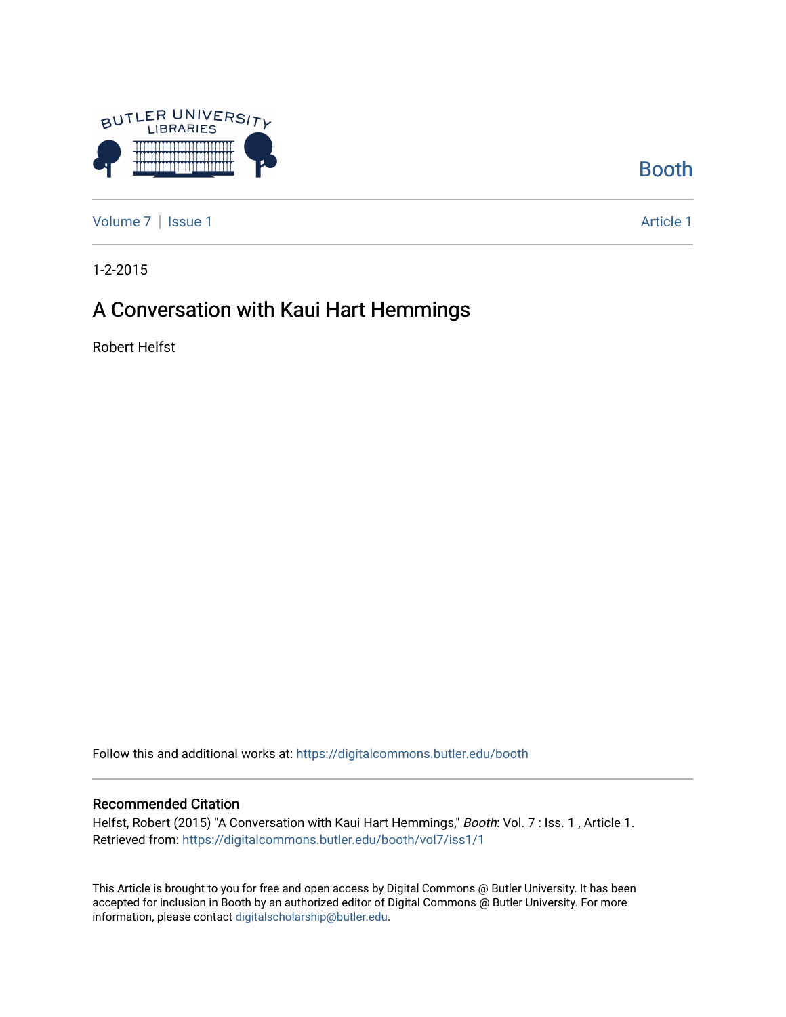

[Booth](https://digitalcommons.butler.edu/booth) 

[Volume 7](https://digitalcommons.butler.edu/booth/vol7) | [Issue 1](https://digitalcommons.butler.edu/booth/vol7/iss1) Article 1

1-2-2015

## A Conversation with Kaui Hart Hemmings

Robert Helfst

Follow this and additional works at: [https://digitalcommons.butler.edu/booth](https://digitalcommons.butler.edu/booth?utm_source=digitalcommons.butler.edu%2Fbooth%2Fvol7%2Fiss1%2F1&utm_medium=PDF&utm_campaign=PDFCoverPages) 

#### Recommended Citation

Helfst, Robert (2015) "A Conversation with Kaui Hart Hemmings," Booth: Vol. 7 : Iss. 1, Article 1. Retrieved from: [https://digitalcommons.butler.edu/booth/vol7/iss1/1](https://digitalcommons.butler.edu/booth/vol7/iss1/1?utm_source=digitalcommons.butler.edu%2Fbooth%2Fvol7%2Fiss1%2F1&utm_medium=PDF&utm_campaign=PDFCoverPages) 

This Article is brought to you for free and open access by Digital Commons @ Butler University. It has been accepted for inclusion in Booth by an authorized editor of Digital Commons @ Butler University. For more information, please contact [digitalscholarship@butler.edu](mailto:digitalscholarship@butler.edu).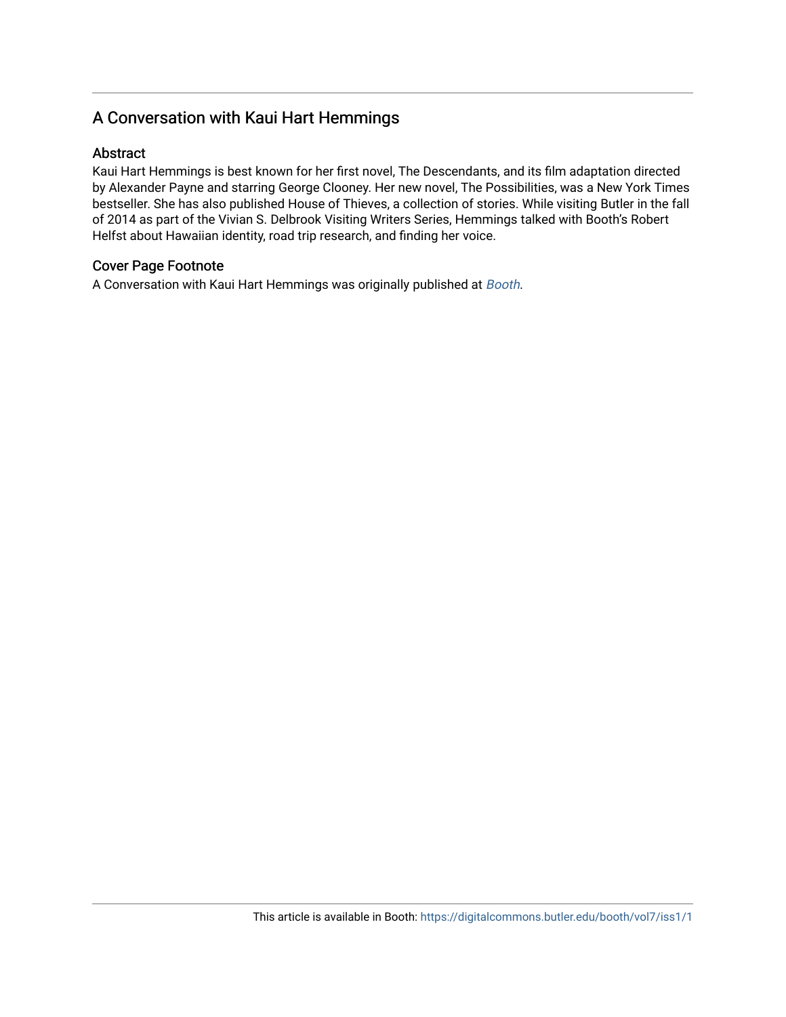### A Conversation with Kaui Hart Hemmings

#### Abstract

Kaui Hart Hemmings is best known for her first novel, The Descendants, and its film adaptation directed by Alexander Payne and starring George Clooney. Her new novel, The Possibilities, was a New York Times bestseller. She has also published House of Thieves, a collection of stories. While visiting Butler in the fall of 2014 as part of the Vivian S. Delbrook Visiting Writers Series, Hemmings talked with Booth's Robert Helfst about Hawaiian identity, road trip research, and finding her voice.

#### Cover Page Footnote

A Conversation with Kaui Hart Hemmings was originally published at [Booth](http://booth.butler.edu/2015/01/02/a-conversation-with-kaui-hart-hemmings/).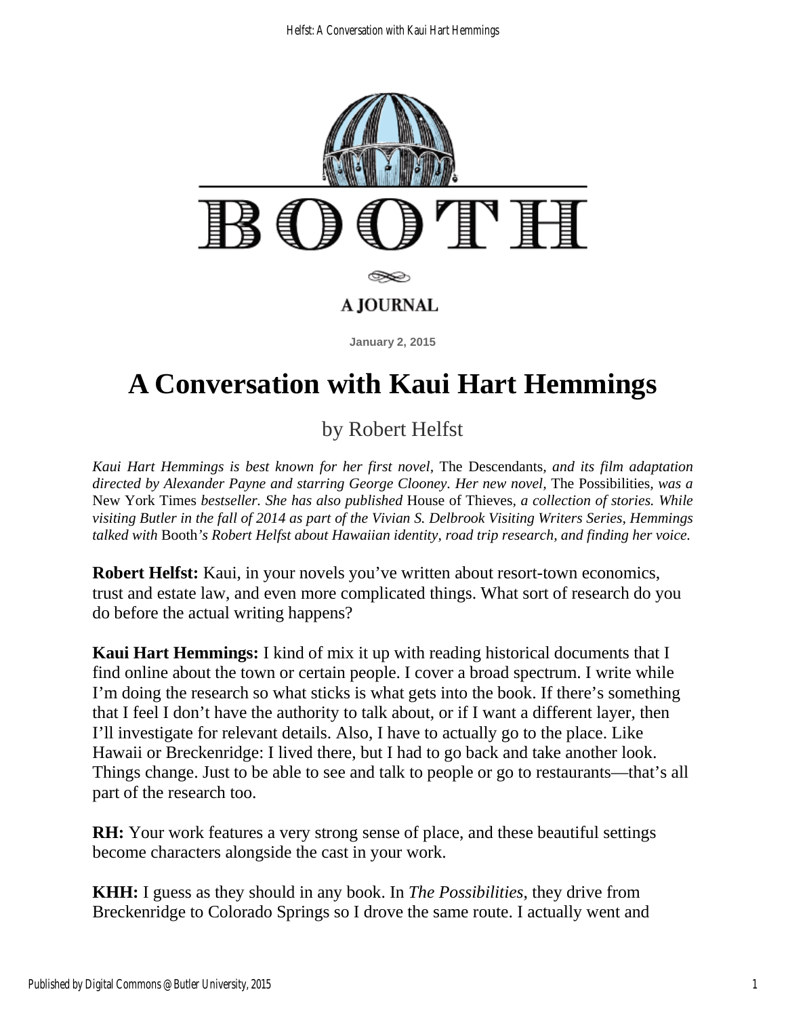

# **A Conversation with Kaui Hart Hemmings**

by Robert Helfst

*Kaui Hart Hemmings is best known for her first novel,* The Descendants*, and its film adaptation directed by Alexander Payne and starring George Clooney. Her new novel,* The Possibilities*, was a*  New York Times *bestseller. She has also published* House of Thieves*, a collection of stories. While visiting Butler in the fall of 2014 as part of the Vivian S. Delbrook Visiting Writers Series, Hemmings talked with* Booth*'s Robert Helfst about Hawaiian identity, road trip research, and finding her voice.* 

**Robert Helfst:** Kaui, in your novels you've written about resort-town economics, trust and estate law, and even more complicated things. What sort of research do you do before the actual writing happens?

**Kaui Hart Hemmings:** I kind of mix it up with reading historical documents that I find online about the town or certain people. I cover a broad spectrum. I write while I'm doing the research so what sticks is what gets into the book. If there's something that I feel I don't have the authority to talk about, or if I want a different layer, then I'll investigate for relevant details. Also, I have to actually go to the place. Like Hawaii or Breckenridge: I lived there, but I had to go back and take another look. Things change. Just to be able to see and talk to people or go to restaurants—that's all part of the research too.

**RH:** Your work features a very strong sense of place, and these beautiful settings become characters alongside the cast in your work.

**KHH:** I guess as they should in any book. In *The Possibilities*, they drive from Breckenridge to Colorado Springs so I drove the same route. I actually went and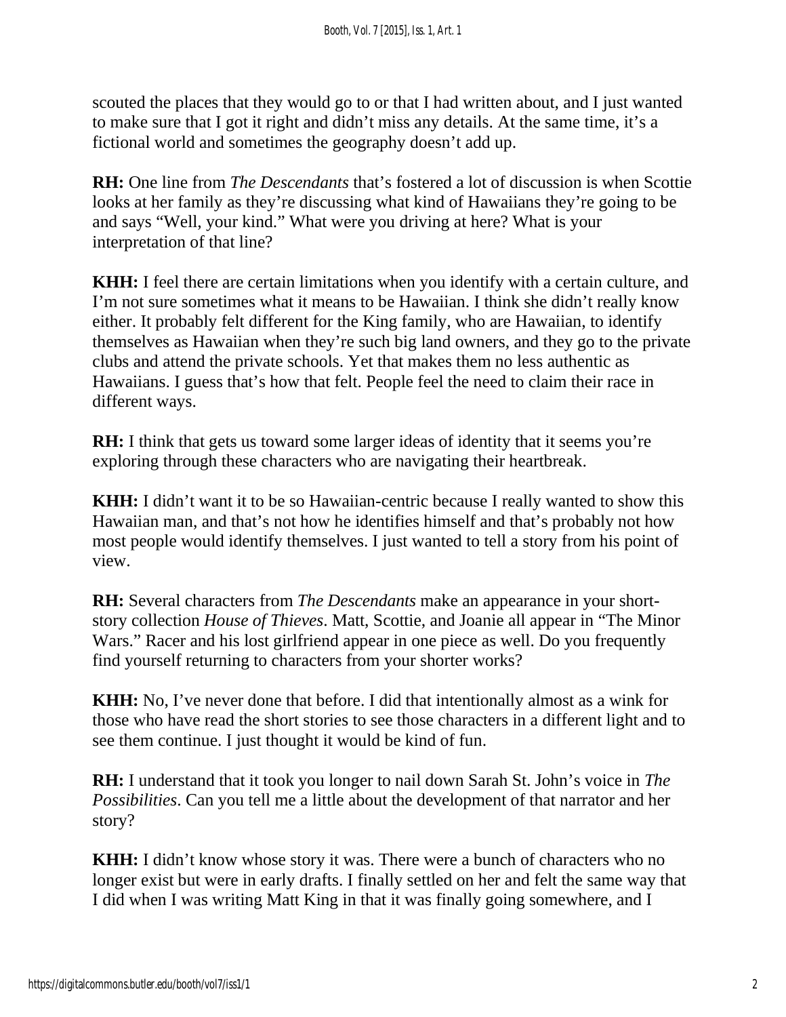scouted the places that they would go to or that I had written about, and I just wanted to make sure that I got it right and didn't miss any details. At the same time, it's a fictional world and sometimes the geography doesn't add up.

**RH:** One line from *The Descendants* that's fostered a lot of discussion is when Scottie looks at her family as they're discussing what kind of Hawaiians they're going to be and says "Well, your kind." What were you driving at here? What is your interpretation of that line?

**KHH:** I feel there are certain limitations when you identify with a certain culture, and I'm not sure sometimes what it means to be Hawaiian. I think she didn't really know either. It probably felt different for the King family, who are Hawaiian, to identify themselves as Hawaiian when they're such big land owners, and they go to the private clubs and attend the private schools. Yet that makes them no less authentic as Hawaiians. I guess that's how that felt. People feel the need to claim their race in different ways.

**RH:** I think that gets us toward some larger ideas of identity that it seems you're exploring through these characters who are navigating their heartbreak.

**KHH:** I didn't want it to be so Hawaiian-centric because I really wanted to show this Hawaiian man, and that's not how he identifies himself and that's probably not how most people would identify themselves. I just wanted to tell a story from his point of view.

**RH:** Several characters from *The Descendants* make an appearance in your shortstory collection *House of Thieves*. Matt, Scottie, and Joanie all appear in "The Minor Wars." Racer and his lost girlfriend appear in one piece as well. Do you frequently find yourself returning to characters from your shorter works?

**KHH:** No, I've never done that before. I did that intentionally almost as a wink for those who have read the short stories to see those characters in a different light and to see them continue. I just thought it would be kind of fun.

**RH:** I understand that it took you longer to nail down Sarah St. John's voice in *The Possibilities*. Can you tell me a little about the development of that narrator and her story?

**KHH:** I didn't know whose story it was. There were a bunch of characters who no longer exist but were in early drafts. I finally settled on her and felt the same way that I did when I was writing Matt King in that it was finally going somewhere, and I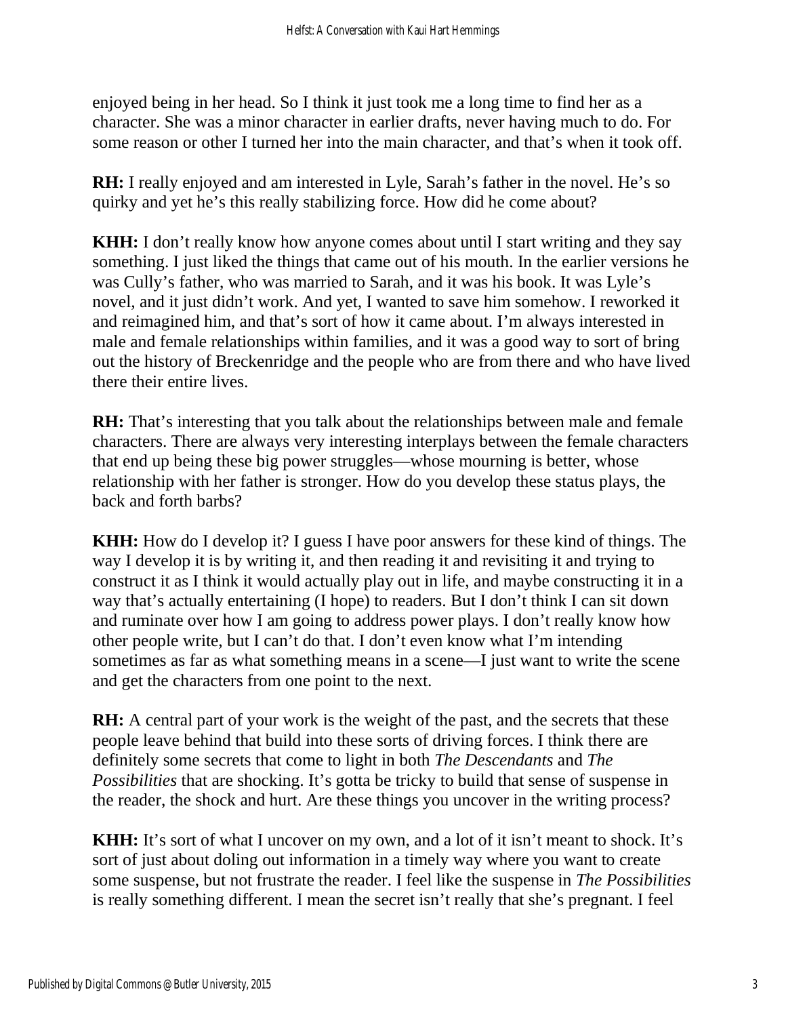enjoyed being in her head. So I think it just took me a long time to find her as a character. She was a minor character in earlier drafts, never having much to do. For some reason or other I turned her into the main character, and that's when it took off.

**RH:** I really enjoyed and am interested in Lyle, Sarah's father in the novel. He's so quirky and yet he's this really stabilizing force. How did he come about?

**KHH:** I don't really know how anyone comes about until I start writing and they say something. I just liked the things that came out of his mouth. In the earlier versions he was Cully's father, who was married to Sarah, and it was his book. It was Lyle's novel, and it just didn't work. And yet, I wanted to save him somehow. I reworked it and reimagined him, and that's sort of how it came about. I'm always interested in male and female relationships within families, and it was a good way to sort of bring out the history of Breckenridge and the people who are from there and who have lived there their entire lives.

**RH:** That's interesting that you talk about the relationships between male and female characters. There are always very interesting interplays between the female characters that end up being these big power struggles—whose mourning is better, whose relationship with her father is stronger. How do you develop these status plays, the back and forth barbs?

**KHH:** How do I develop it? I guess I have poor answers for these kind of things. The way I develop it is by writing it, and then reading it and revisiting it and trying to construct it as I think it would actually play out in life, and maybe constructing it in a way that's actually entertaining (I hope) to readers. But I don't think I can sit down and ruminate over how I am going to address power plays. I don't really know how other people write, but I can't do that. I don't even know what I'm intending sometimes as far as what something means in a scene—I just want to write the scene and get the characters from one point to the next.

**RH:** A central part of your work is the weight of the past, and the secrets that these people leave behind that build into these sorts of driving forces. I think there are definitely some secrets that come to light in both *The Descendants* and *The Possibilities* that are shocking. It's gotta be tricky to build that sense of suspense in the reader, the shock and hurt. Are these things you uncover in the writing process?

**KHH:** It's sort of what I uncover on my own, and a lot of it isn't meant to shock. It's sort of just about doling out information in a timely way where you want to create some suspense, but not frustrate the reader. I feel like the suspense in *The Possibilities* is really something different. I mean the secret isn't really that she's pregnant. I feel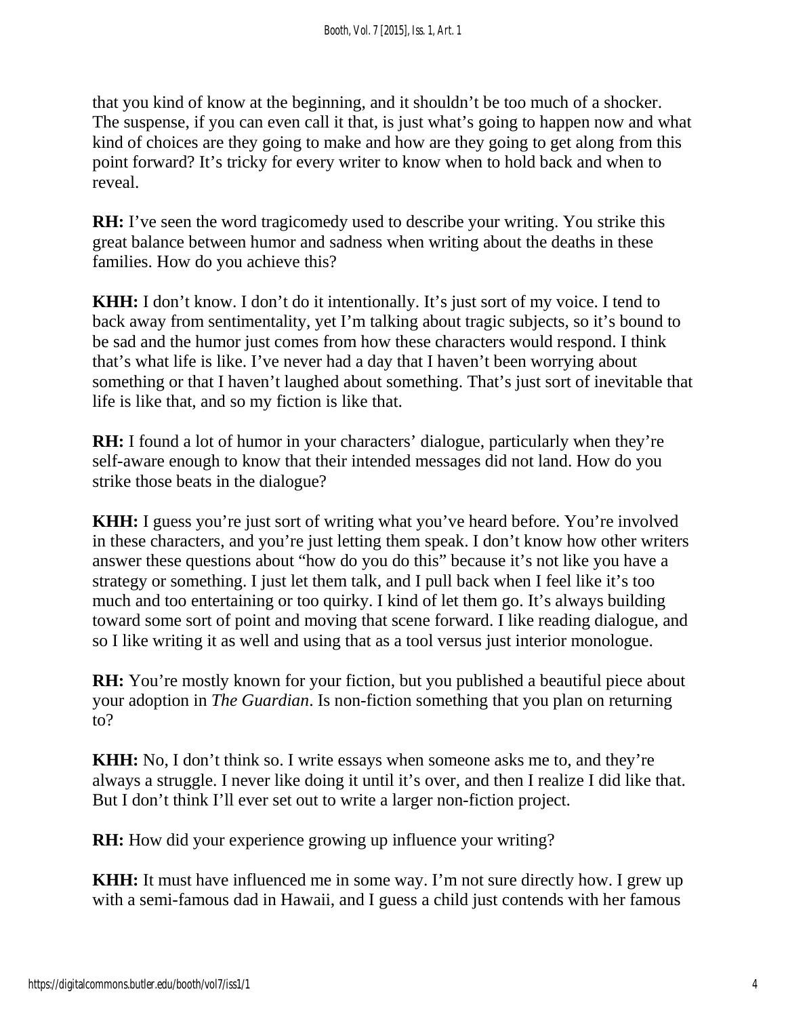that you kind of know at the beginning, and it shouldn't be too much of a shocker. The suspense, if you can even call it that, is just what's going to happen now and what kind of choices are they going to make and how are they going to get along from this point forward? It's tricky for every writer to know when to hold back and when to reveal.

**RH:** I've seen the word tragicomedy used to describe your writing. You strike this great balance between humor and sadness when writing about the deaths in these families. How do you achieve this?

**KHH:** I don't know. I don't do it intentionally. It's just sort of my voice. I tend to back away from sentimentality, yet I'm talking about tragic subjects, so it's bound to be sad and the humor just comes from how these characters would respond. I think that's what life is like. I've never had a day that I haven't been worrying about something or that I haven't laughed about something. That's just sort of inevitable that life is like that, and so my fiction is like that.

**RH:** I found a lot of humor in your characters' dialogue, particularly when they're self-aware enough to know that their intended messages did not land. How do you strike those beats in the dialogue?

**KHH:** I guess you're just sort of writing what you've heard before. You're involved in these characters, and you're just letting them speak. I don't know how other writers answer these questions about "how do you do this" because it's not like you have a strategy or something. I just let them talk, and I pull back when I feel like it's too much and too entertaining or too quirky. I kind of let them go. It's always building toward some sort of point and moving that scene forward. I like reading dialogue, and so I like writing it as well and using that as a tool versus just interior monologue.

**RH:** You're mostly known for your fiction, but you published a beautiful piece about your adoption in *The Guardian*. Is non-fiction something that you plan on returning to?

**KHH:** No, I don't think so. I write essays when someone asks me to, and they're always a struggle. I never like doing it until it's over, and then I realize I did like that. But I don't think I'll ever set out to write a larger non-fiction project.

**RH:** How did your experience growing up influence your writing?

**KHH:** It must have influenced me in some way. I'm not sure directly how. I grew up with a semi-famous dad in Hawaii, and I guess a child just contends with her famous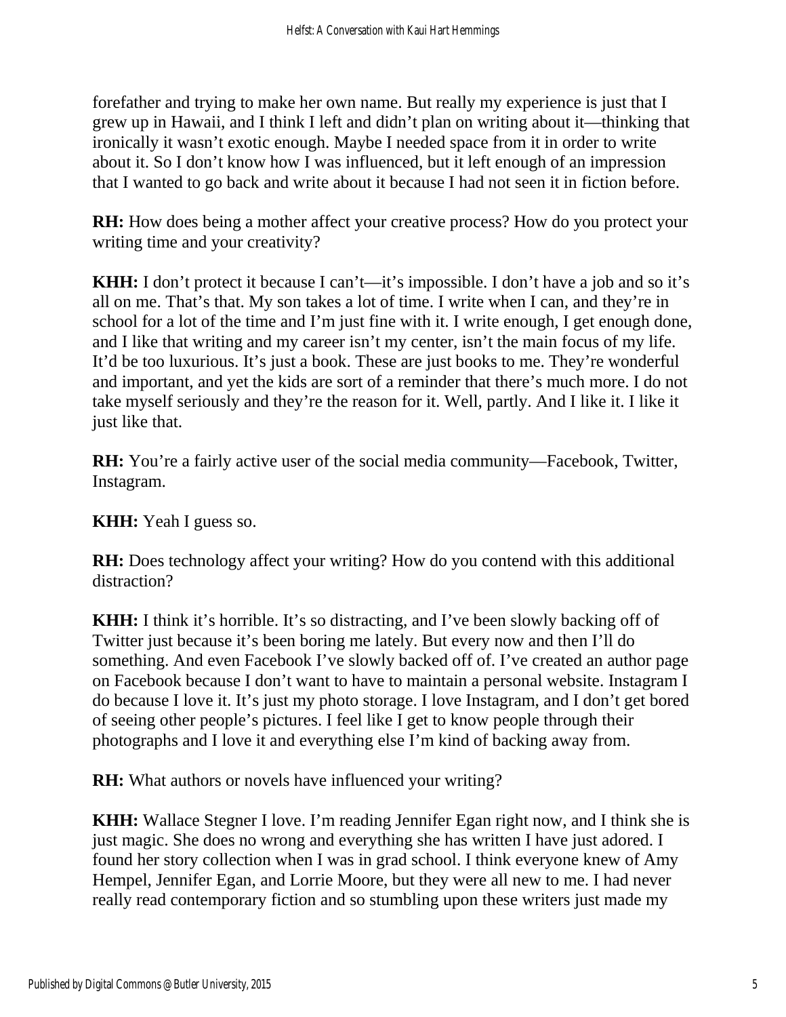forefather and trying to make her own name. But really my experience is just that I grew up in Hawaii, and I think I left and didn't plan on writing about it—thinking that ironically it wasn't exotic enough. Maybe I needed space from it in order to write about it. So I don't know how I was influenced, but it left enough of an impression that I wanted to go back and write about it because I had not seen it in fiction before.

**RH:** How does being a mother affect your creative process? How do you protect your writing time and your creativity?

**KHH:** I don't protect it because I can't—it's impossible. I don't have a job and so it's all on me. That's that. My son takes a lot of time. I write when I can, and they're in school for a lot of the time and I'm just fine with it. I write enough, I get enough done, and I like that writing and my career isn't my center, isn't the main focus of my life. It'd be too luxurious. It's just a book. These are just books to me. They're wonderful and important, and yet the kids are sort of a reminder that there's much more. I do not take myself seriously and they're the reason for it. Well, partly. And I like it. I like it just like that.

**RH:** You're a fairly active user of the social media community—Facebook, Twitter, Instagram.

**KHH:** Yeah I guess so.

**RH:** Does technology affect your writing? How do you contend with this additional distraction?

**KHH:** I think it's horrible. It's so distracting, and I've been slowly backing off of Twitter just because it's been boring me lately. But every now and then I'll do something. And even Facebook I've slowly backed off of. I've created an author page on Facebook because I don't want to have to maintain a personal website. Instagram I do because I love it. It's just my photo storage. I love Instagram, and I don't get bored of seeing other people's pictures. I feel like I get to know people through their photographs and I love it and everything else I'm kind of backing away from.

**RH:** What authors or novels have influenced your writing?

**KHH:** Wallace Stegner I love. I'm reading Jennifer Egan right now, and I think she is just magic. She does no wrong and everything she has written I have just adored. I found her story collection when I was in grad school. I think everyone knew of Amy Hempel, Jennifer Egan, and Lorrie Moore, but they were all new to me. I had never really read contemporary fiction and so stumbling upon these writers just made my